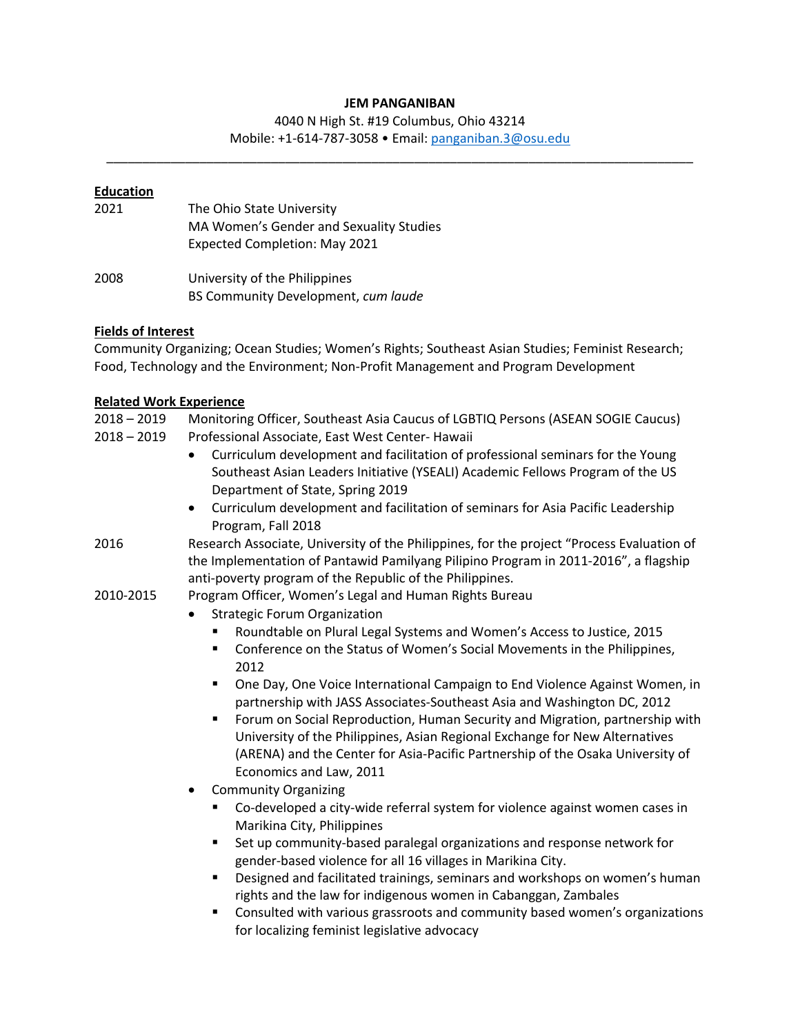#### **JEM PANGANIBAN**

4040 N High St. #19 Columbus, Ohio 43214

Mobile: +1-614-787-3058 • Email: panganiban.3@osu.edu \_\_\_\_\_\_\_\_\_\_\_\_\_\_\_\_\_\_\_\_\_\_\_\_\_\_\_\_\_\_\_\_\_\_\_\_\_\_\_\_\_\_\_\_\_\_\_\_\_\_\_\_\_\_\_\_\_\_\_\_\_\_\_\_\_\_\_\_\_\_\_\_\_\_\_\_\_\_\_\_\_\_

## **Education**

| 2021 | The Ohio State University<br>MA Women's Gender and Sexuality Studies<br>Expected Completion: May 2021 |
|------|-------------------------------------------------------------------------------------------------------|
| 2008 | University of the Philippines<br>BS Community Development, cum laude                                  |

### **Fields of Interest**

Community Organizing; Ocean Studies; Women's Rights; Southeast Asian Studies; Feminist Research; Food, Technology and the Environment; Non-Profit Management and Program Development

### **Related Work Experience**

2018 – 2019 Monitoring Officer, Southeast Asia Caucus of LGBTIQ Persons (ASEAN SOGIE Caucus)

- 2018 2019 Professional Associate, East West Center- Hawaii
	- Curriculum development and facilitation of professional seminars for the Young Southeast Asian Leaders Initiative (YSEALI) Academic Fellows Program of the US Department of State, Spring 2019
	- Curriculum development and facilitation of seminars for Asia Pacific Leadership Program, Fall 2018
- 2016 Research Associate, University of the Philippines, for the project "Process Evaluation of the Implementation of Pantawid Pamilyang Pilipino Program in 2011-2016", a flagship anti-poverty program of the Republic of the Philippines.
- 2010-2015 Program Officer, Women's Legal and Human Rights Bureau
	- Strategic Forum Organization
		- § Roundtable on Plural Legal Systems and Women's Access to Justice, 2015
		- Conference on the Status of Women's Social Movements in the Philippines, 2012
		- One Day, One Voice International Campaign to End Violence Against Women, in partnership with JASS Associates-Southeast Asia and Washington DC, 2012
		- § Forum on Social Reproduction, Human Security and Migration, partnership with University of the Philippines, Asian Regional Exchange for New Alternatives (ARENA) and the Center for Asia-Pacific Partnership of the Osaka University of Economics and Law, 2011
	- Community Organizing
		- § Co-developed a city-wide referral system for violence against women cases in Marikina City, Philippines
		- § Set up community-based paralegal organizations and response network for gender-based violence for all 16 villages in Marikina City.
		- § Designed and facilitated trainings, seminars and workshops on women's human rights and the law for indigenous women in Cabanggan, Zambales
		- § Consulted with various grassroots and community based women's organizations for localizing feminist legislative advocacy